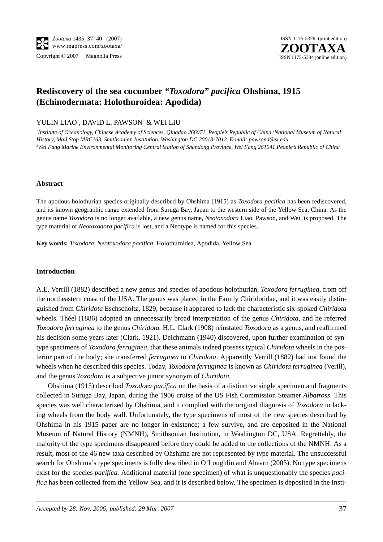

# **Rediscovery of the sea cucumber** *"Toxodora" pacifica* **Ohshima, 1915 (Echinodermata: Holothuroidea: Apodida)**

YULIN LIAO<sup>1</sup>, DAVID L. PAWSON<sup>2</sup> & WEI LIU<sup>3</sup>

<sup>1</sup>Institute of Oceanology, Chinese Academy of Sciences, Qingdao 266071, People's Republic of China <sup>2</sup>National Museum of Natural *History, Mail Stop MRC163, Smithsonian Institution, Washington DC 20013-7012. E-mail: pawsond@si.edu 3 Wei Fang Marine Environmental Monitoring Central Station of Shandong Province, Wei Fang 261041,People's Republic of China*

## **Abstract**

The apodous holothurian species originally described by Ohshima (1915) as *Toxodora pacifica* has been rediscovered, and its known geographic range extended from Suruga Bay, Japan to the western side of the Yellow Sea, China. As the genus name *Toxodora* is no longer available, a new genus name, *Neotoxodora* Liao, Pawson, and Wei, is proposed. The type material of *Neotoxodora pacifica* is lost, and a Neotype is named for this species.

**Key words:** *Toxodora*, *Neotoxodora pacifica,* Holothuroidea, Apodida, Yellow Sea

### **Introduction**

A.E. Verrill (1882) described a new genus and species of apodous holothurian, *Toxodora ferruginea*, from off the northeastern coast of the USA. The genus was placed in the Family Chiridotidae, and it was easily distinguished from *Chiridota* Eschscholtz, 1829, because it appeared to lack the characteristic six-spoked *Chiridota* wheels. Théel (1886) adopted an unnecessarily broad interpretation of the genus *Chiridota*, and he referred *Toxodora ferruginea* to the genus *Chiridota.* H.L. Clark (1908) reinstated *Toxodora* as a genus, and reaffirmed his decision some years later (Clark, 1921). Deichmann (1940) discovered, upon further examination of syntype specimens of *Toxodora ferruginea*, that these animals indeed possess typical *Chiridota* wheels in the posterior part of the body; she transferred *ferruginea* to *Chiridota*. Apparently Verrill (1882) had not found the wheels when he described this species. Today, *Toxodora ferruginea* is known as *Chiridota ferruginea* (Verill)*,* and the genus *Toxodora* is a subjective junior synonym of *Chiridota.*

Ohshima (1915) described *Toxodora pacifica* on the basis of a distinctive single specimen and fragments collected in Suruga Bay, Japan, during the 1906 cruise of the US Fish Commission Steamer *Albatross*. This species was well characterized by Ohshima, and it complied with the original diagnosis of *Toxodora* in lacking wheels from the body wall. Unfortunately, the type specimens of most of the new species described by Ohshima in his 1915 paper are no longer in existence; a few survive, and are deposited in the National Museum of Natural History (NMNH), Smithsonian Institution, in Washington DC, USA. Regrettably, the majority of the type specimens disappeared before they could be added to the collections of the NMNH. As a result, most of the 46 new taxa described by Ohshima are not represented by type material. The unsuccessful search for Ohshima's type specimens is fully described in O'Loughlin and Ahearn (2005). No type specimens exist for the species *pacifica.* Additional material (one specimen) of what is unquestionably the species *pacifica* has been collected from the Yellow Sea, and it is described below. The specimen is deposited in the Insti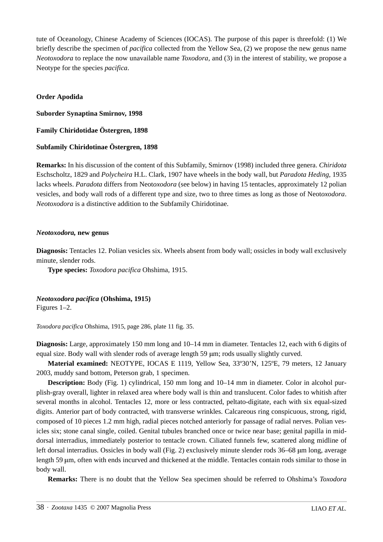tute of Oceanology, Chinese Academy of Sciences (IOCAS). The purpose of this paper is threefold: (1) We briefly describe the specimen of *pacifica* collected from the Yellow Sea, (2) we propose the new genus name *Neotoxodora* to replace the now unavailable name *Toxodora*, and (3) in the interest of stability, we propose a Neotype for the species *pacifica*.

# **Order Apodida**

**Suborder Synaptina Smirnov, 1998**

**Family Chiridotidae Östergren, 1898**

## **Subfamily Chiridotinae Östergren, 1898**

**Remarks:** In his discussion of the content of this Subfamily, Smirnov (1998) included three genera. *Chiridota* Eschscholtz, 1829 and *Polycheira* H.L. Clark, 1907 have wheels in the body wall, but *Paradota Heding*, 1935 lacks wheels. *Paradota* differs from Neot*oxodora* (see below) in having 15 tentacles, approximately 12 polian vesicles, and body wall rods of a different type and size, two to three times as long as those of Neot*oxodora*. *Neotoxodora* is a distinctive addition to the Subfamily Chiridotinae.

### *Neotoxodora,* **new genus**

**Diagnosis:** Tentacles 12. Polian vesicles six. Wheels absent from body wall; ossicles in body wall exclusively minute, slender rods.

**Type species:** *Toxodora pacifica* Ohshima, 1915.

*Neotoxodora pacifica* **(Ohshima, 1915)**

Figures 1–2.

*Toxodora pacifica* Ohshima, 1915, page 286, plate 11 fig. 35.

**Diagnosis:** Large, approximately 150 mm long and 10–14 mm in diameter. Tentacles 12, each with 6 digits of equal size. Body wall with slender rods of average length 59 μm; rods usually slightly curved.

**Material examined:** NEOTYPE, IOCAS E 1119, Yellow Sea, 33º30'N, 125ºE, 79 meters, 12 January 2003, muddy sand bottom, Peterson grab, 1 specimen.

**Description:** Body (Fig. 1) cylindrical, 150 mm long and 10–14 mm in diameter. Color in alcohol purplish-gray overall, lighter in relaxed area where body wall is thin and translucent. Color fades to whitish after several months in alcohol. Tentacles 12, more or less contracted, peltato-digitate, each with six equal-sized digits. Anterior part of body contracted, with transverse wrinkles. Calcareous ring conspicuous, strong, rigid, composed of 10 pieces 1.2 mm high, radial pieces notched anteriorly for passage of radial nerves. Polian vesicles six; stone canal single, coiled. Genital tubules branched once or twice near base; genital papilla in middorsal interradius, immediately posterior to tentacle crown. Ciliated funnels few, scattered along midline of left dorsal interradius. Ossicles in body wall (Fig. 2) exclusively minute slender rods 36–68 μm long, average length 59 μm, often with ends incurved and thickened at the middle. Tentacles contain rods similar to those in body wall.

**Remarks:** There is no doubt that the Yellow Sea specimen should be referred to Ohshima's *Toxodora*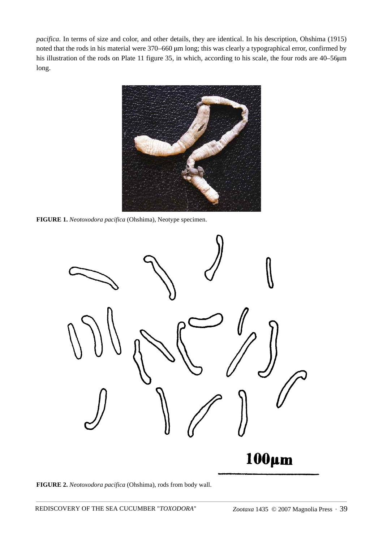*pacifica.* In terms of size and color, and other details, they are identical. In his description, Ohshima (1915) noted that the rods in his material were 370–660 μm long; this was clearly a typographical error, confirmed by his illustration of the rods on Plate 11 figure 35, in which, according to his scale, the four rods are 40–56μ<sup>m</sup> long.



**FIGURE 1.** *Neotoxodora pacifica* (Ohshima), Neotype specimen.



**FIGURE 2.** *Neotoxodora pacifica* (Ohshima), rods from body wall.